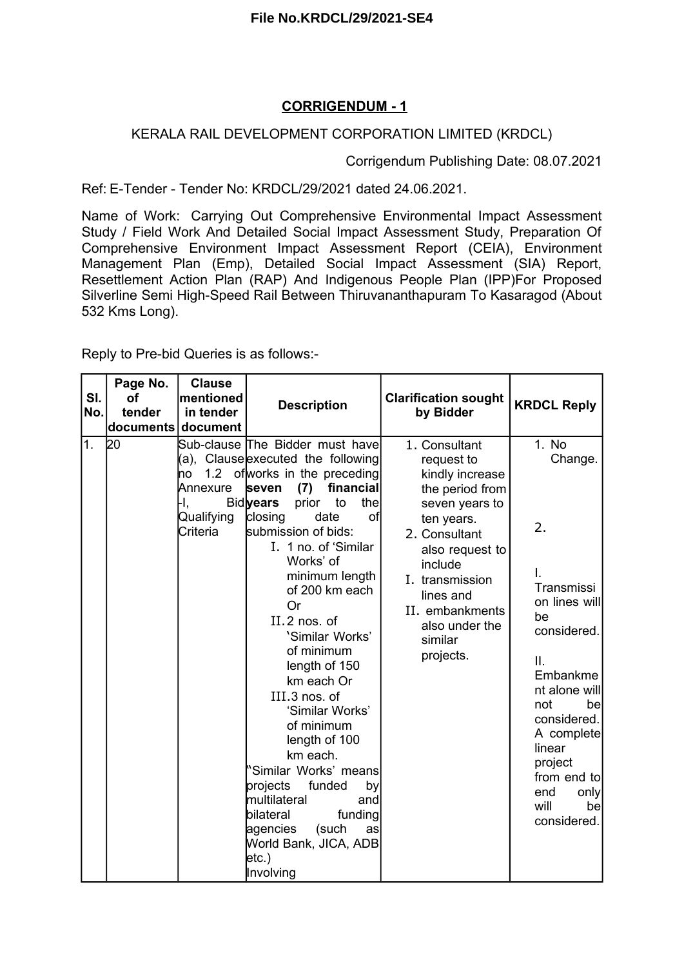### **CORRIGENDUM - 1**

#### KERALA RAIL DEVELOPMENT CORPORATION LIMITED (KRDCL)

Corrigendum Publishing Date: 08.07.2021

Ref: E-Tender - Tender No: KRDCL/29/2021 dated 24.06.2021.

Name of Work: Carrying Out Comprehensive Environmental Impact Assessment Study / Field Work And Detailed Social Impact Assessment Study, Preparation Of Comprehensive Environment Impact Assessment Report (CEIA), Environment Management Plan (Emp), Detailed Social Impact Assessment (SIA) Report, Resettlement Action Plan (RAP) And Indigenous People Plan (IPP)For Proposed Silverline Semi High-Speed Rail Between Thiruvananthapuram To Kasaragod (About 532 Kms Long).

Reply to Pre-bid Queries is as follows:-

| SI.<br>No. | Page No.<br>οf<br>tender<br>documents | <b>Clause</b><br>mentioned<br>in tender<br>document | <b>Description</b>                                                                                                                                                                                                                                                                                                                                                                                                                                                                                                                                                                                                                                              | <b>Clarification sought</b><br>by Bidder                                                                                                                                                                                                      | <b>KRDCL Reply</b>                                                                                                                                                                                                                              |
|------------|---------------------------------------|-----------------------------------------------------|-----------------------------------------------------------------------------------------------------------------------------------------------------------------------------------------------------------------------------------------------------------------------------------------------------------------------------------------------------------------------------------------------------------------------------------------------------------------------------------------------------------------------------------------------------------------------------------------------------------------------------------------------------------------|-----------------------------------------------------------------------------------------------------------------------------------------------------------------------------------------------------------------------------------------------|-------------------------------------------------------------------------------------------------------------------------------------------------------------------------------------------------------------------------------------------------|
| 1.         | 20                                    | no<br>Annexure<br>-I.,<br>Qualifying<br>Criteria    | Sub-clause The Bidder must have<br>(a), Clause executed the following<br>1.2 of works in the preceding<br>financial<br><b>seven</b><br>(7)<br><b>Bidlyears</b><br>to<br>the<br>prior<br>date<br>of<br>closing<br>submission of bids:<br>I. 1 no. of 'Similar<br>Works' of<br>minimum length<br>of 200 km each<br>Or<br>II.2 nos. of<br>'Similar Works'<br>of minimum<br>length of 150<br>km each Or<br>III.3 nos. of<br>'Similar Works'<br>of minimum<br>length of 100<br>km each.<br>Similar Works' means<br>projects<br>funded<br>by<br>multilateral<br>and<br>bilateral<br>funding<br>(such<br>agencies<br>as<br>World Bank, JICA, ADB<br>etc.)<br>Involving | 1. Consultant<br>request to<br>kindly increase<br>the period from<br>seven years to<br>ten years.<br>2. Consultant<br>also request to<br>include<br>I. transmission<br>lines and<br>II. embankments<br>also under the<br>similar<br>projects. | 1. No.<br>Change.<br>2.<br>I.<br>Transmissi<br>on lines will<br>be<br>considered.<br>II.<br>Embankme<br>nt alone will<br>not<br>be<br>considered.<br>A complete<br>linear<br>project<br>from end to<br>end<br>only<br>will<br>be<br>considered. |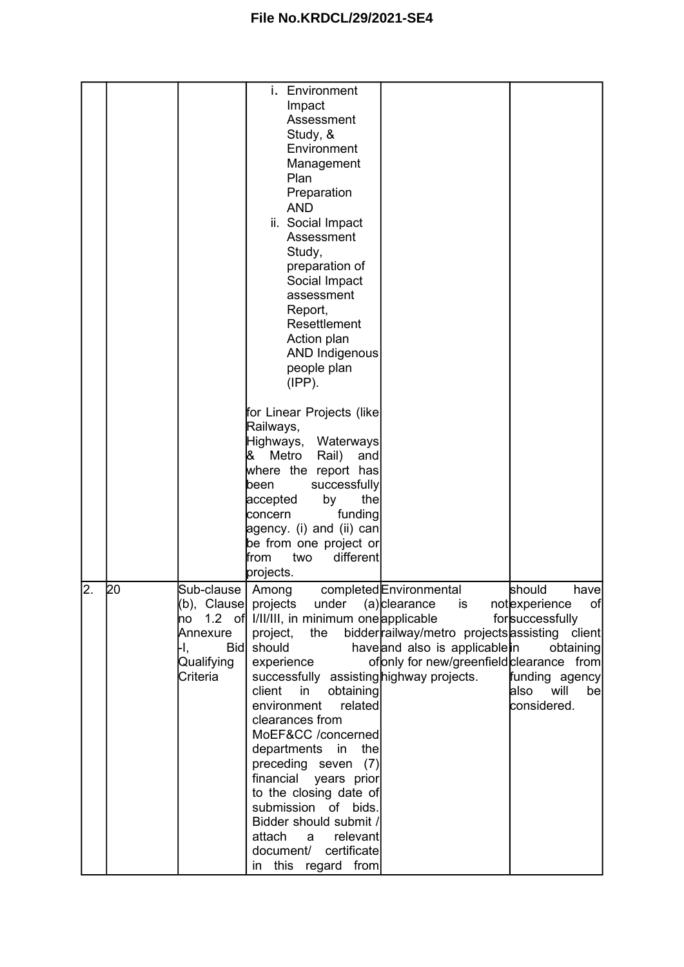|                |    |                                                                 | i. Environment<br>Impact<br>Assessment<br>Study, &<br>Environment<br>Management<br>Plan<br>Preparation<br><b>AND</b><br>ii. Social Impact<br>Assessment<br>Study,<br>preparation of<br>Social Impact<br>assessment<br>Report,<br>Resettlement<br>Action plan<br><b>AND Indigenous</b><br>people plan<br>$(IPP)$ .<br>for Linear Projects (like<br>Railways,<br>Highways,<br>Waterways<br>Metro<br>Rail)<br>8<br>and<br>where the report has<br>successfully<br>been<br>the<br>accepted<br>by<br>funding<br>concern<br>agency. (i) and (ii) can<br>be from one project or<br>different<br>from<br>two                                                                                       |                                                                                                                               |
|----------------|----|-----------------------------------------------------------------|--------------------------------------------------------------------------------------------------------------------------------------------------------------------------------------------------------------------------------------------------------------------------------------------------------------------------------------------------------------------------------------------------------------------------------------------------------------------------------------------------------------------------------------------------------------------------------------------------------------------------------------------------------------------------------------------|-------------------------------------------------------------------------------------------------------------------------------|
| $\overline{2}$ |    |                                                                 | projects.                                                                                                                                                                                                                                                                                                                                                                                                                                                                                                                                                                                                                                                                                  |                                                                                                                               |
|                | 20 | Sub-clause   Among<br>Annexure<br>-I.<br>Qualifying<br>Criteria | completed Environmental<br>(b), Clause  projects under (a)clearance is<br>no 1.2 of I/II/III, in minimum one applicable<br>bidder railway/metro projects assisting client<br>project,<br>the<br>haveand also is applicable in<br>Bid should<br>of pnly for new/greenfield clearance from<br>experience<br>successfully assisting highway projects.<br>in<br>client<br>obtaining<br>environment<br>related<br>clearances from<br>MoEF&CC /concerned<br>departments<br>the<br>in<br>preceding seven<br>(7)<br>financial years prior<br>to the closing date of<br>submission of bids.<br>Bidder should submit /<br>attach<br>relevant<br>a<br>document/<br>certificate<br>in this regard from | should<br>havel<br>of<br>notexperience<br>forsuccessfully<br>obtaining<br>funding agency<br>will<br>also<br>be<br>considered. |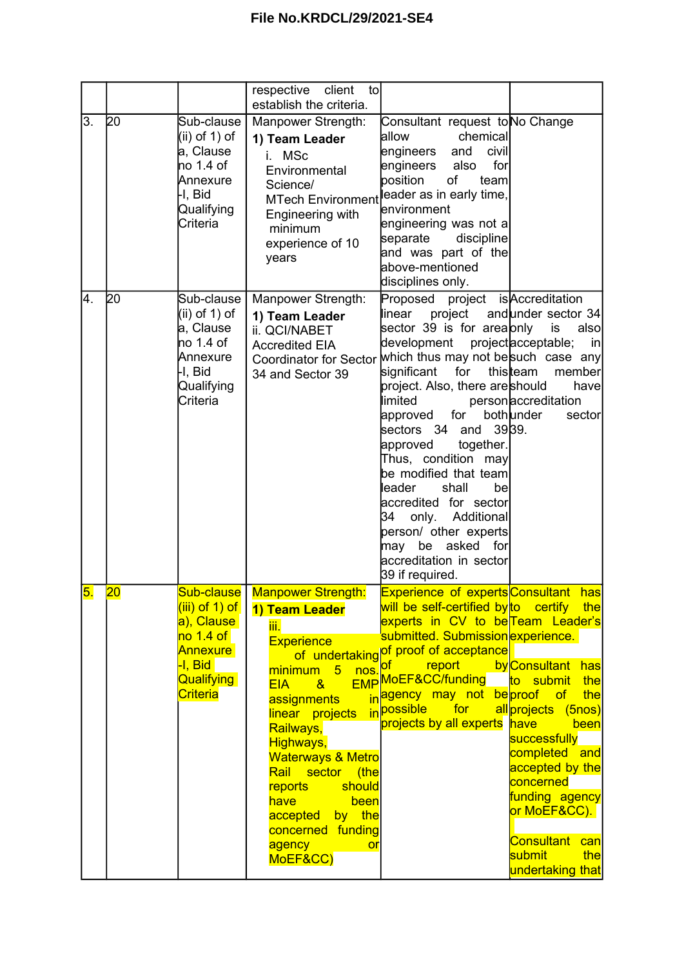|    |                 |                                                                                                                 | respective<br>client<br>tol                                                                                                                                                                                                                                                                                                                                     |                                                                                                                                                                                                                                                                                                                                                                                                                                                                                                |                                                                                                                                                                                                                                  |
|----|-----------------|-----------------------------------------------------------------------------------------------------------------|-----------------------------------------------------------------------------------------------------------------------------------------------------------------------------------------------------------------------------------------------------------------------------------------------------------------------------------------------------------------|------------------------------------------------------------------------------------------------------------------------------------------------------------------------------------------------------------------------------------------------------------------------------------------------------------------------------------------------------------------------------------------------------------------------------------------------------------------------------------------------|----------------------------------------------------------------------------------------------------------------------------------------------------------------------------------------------------------------------------------|
|    |                 |                                                                                                                 | establish the criteria.                                                                                                                                                                                                                                                                                                                                         |                                                                                                                                                                                                                                                                                                                                                                                                                                                                                                |                                                                                                                                                                                                                                  |
| 3. | 20              | Sub-clause<br>(ii) of 1) of<br>a, Clause<br>no 1.4 of<br>Annexure<br>I, Bid<br>Qualifying<br>Criteria           | Manpower Strength:<br>1) Team Leader<br><b>MSc</b><br>Environmental<br>Science/<br><b>MTech Environment</b><br>Engineering with<br>minimum<br>experience of 10<br>years                                                                                                                                                                                         | Consultant request toNo Change<br>allow<br>chemical<br>civil<br>engineers<br>and<br>for<br>engineers<br>also<br>position<br>οf<br>team<br>leader as in early time,<br>environment<br>engineering was not al<br>separate<br>discipline<br>and was part of the<br>above-mentioned<br>disciplines only.                                                                                                                                                                                           |                                                                                                                                                                                                                                  |
| 4. | 20              | Sub-clause<br>(ii) of 1) of<br>a, Clause<br>no 1.4 of<br>Annexure<br>H, Bid<br>Qualifying<br>Criteria           | Manpower Strength:<br>1) Team Leader<br>ii. QCI/NABET<br><b>Accredited EIA</b><br><b>Coordinator for Sector</b><br>34 and Sector 39                                                                                                                                                                                                                             | Proposed project is Accreditation<br>linear<br>sector 39 is for areaonly<br>development<br>which thus may not besuch case any<br>significant<br>for<br>project. Also, there areshould<br>limited<br>for<br>approved<br>sectors 34 and 3939.<br>together.<br>approved<br>Thus, condition may<br>be modified that team<br>leader<br>shall<br>be<br>accredited for sector<br>34<br>only. Additional<br>person/ other experts<br>may be asked<br>for<br>accreditation in sector<br>39 if required. | project and under sector 34<br>also<br>is<br>project acceptable;<br>in<br>thisteam<br>member<br>have<br>personaccreditation<br>bothunder<br>sector                                                                               |
| 5. | $\overline{20}$ | (iii) of 1) of<br>a), Clause<br>no 1.4 of<br><b>Annexure</b><br>I., Bid<br><b>Qualifying</b><br><b>Criteria</b> | Sub-clause   Manpower Strength:<br>1) Team Leader<br>iii.<br><b>Experience</b><br>nos. <sup>of</sup><br>minimum 5<br>$EIA \t 8$<br>assignments<br>linear projects<br>Railways,<br>Highways,<br><b>Waterways &amp; Metro</b><br>Rail sector (the<br>should<br><b>reports</b><br>have<br>been<br>accepted by the<br>concerned funding<br>agency<br>or<br>MoEF&CC) | <b>Experience of experts Consultant</b><br>will be self-certified by to certify the<br>experts in CV to be Team Leader's<br>submitted. Submission experience.<br>of undertaking of proof of acceptance<br><b>Example 1</b><br>EMP MoEF&CC/funding to submit<br>inagency may not be proof of<br>in <sup>possible</sup><br>for<br>projects by all experts have                                                                                                                                   | hasl<br>by Consultant has<br>the<br>the<br>all projects (5nos)<br>been<br>successfully<br>completed and<br>accepted by the<br>concerned<br>funding agency<br>or MoEF&CC).<br>Consultant can<br>submit<br>the<br>undertaking that |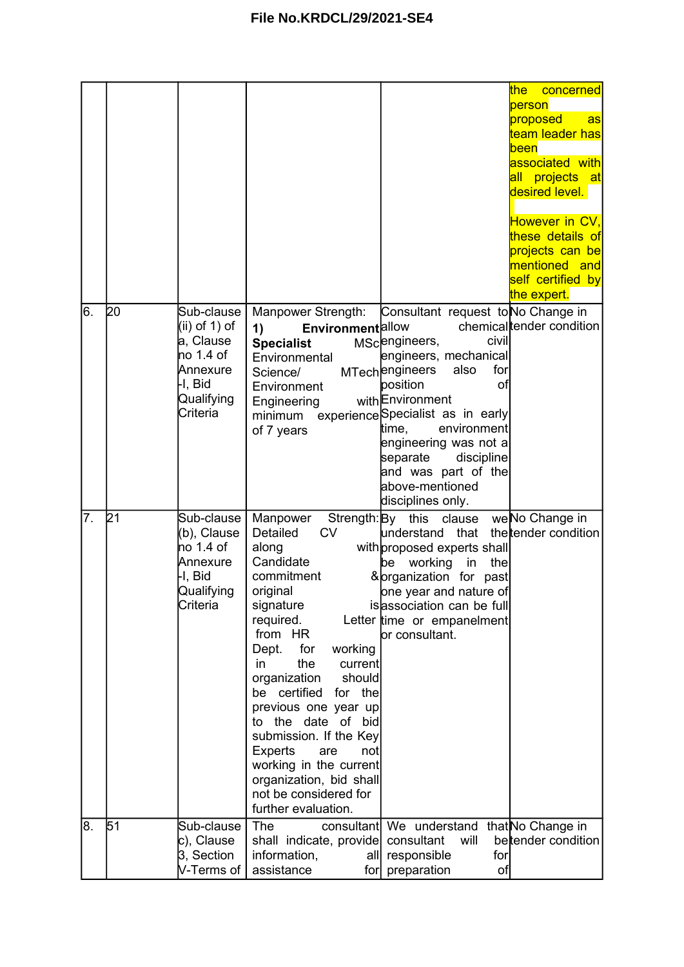|    |    |                                                                                                       |                                                                                                                                                                                                                                                                                                                                                                                                                                      |                                                                                                                                                                                                                                                                                                                                                   | <u>the </u><br>concerned<br>person<br>proposed<br>as<br>team leader has<br><b>been</b><br>associated with<br>all projects at<br>desired level.<br>However in CV,<br>these details of<br>projects can be<br>mentioned and<br>self certified by<br>the expert. |
|----|----|-------------------------------------------------------------------------------------------------------|--------------------------------------------------------------------------------------------------------------------------------------------------------------------------------------------------------------------------------------------------------------------------------------------------------------------------------------------------------------------------------------------------------------------------------------|---------------------------------------------------------------------------------------------------------------------------------------------------------------------------------------------------------------------------------------------------------------------------------------------------------------------------------------------------|--------------------------------------------------------------------------------------------------------------------------------------------------------------------------------------------------------------------------------------------------------------|
| 6. | 20 | Sub-clause<br>(ii) of 1) of<br>a, Clause<br>no 1.4 of<br>Annexure<br>H, Bid<br>Qualifying<br>Criteria | Manpower Strength:<br><b>Environment</b> allow<br>1)<br><b>Specialist</b><br>Environmental<br>Science/<br>Environment<br>Engineering<br>minimum<br>of 7 years                                                                                                                                                                                                                                                                        | Consultant request to No Change in<br>civil<br>MScengineers,<br>engineers, mechanical<br><b>MTechengineers</b><br>also<br>for<br>position<br>of<br>withEnvironment<br>experience Specialist as in early<br>environment<br>time,<br>engineering was not a<br>separate<br>discipline<br>and was part of the<br>above-mentioned<br>disciplines only. | chemical tender condition                                                                                                                                                                                                                                    |
| 7. | 21 | Sub-clause<br>(b), Clause<br>no 1.4 of<br>Annexure<br>H, Bid<br>Qualifying<br>Criteria                | Manpower<br>Detailed<br><b>CV</b><br>along<br>Candidate<br>commitment<br>original<br>signature<br>required.<br>from HR<br>working<br>Dept.<br>for<br>the<br>in<br>current<br>organization<br>should<br>be certified<br>for the<br>previous one year up<br>to the date of bid<br>submission. If the Key<br>Experts<br>not<br>are<br>working in the current<br>organization, bid shall<br>not be considered for<br>further evaluation. | Strength: By this<br>clause<br>understand<br>that<br>with proposed experts shall<br>working<br>in<br>the<br>be<br>& organization for past<br>one year and nature of<br>is association can be full<br>Letter time or empanelment<br>or consultant.                                                                                                 | weNo Change in<br>the tender condition                                                                                                                                                                                                                       |
| 8. | 51 | Sub-clause<br>c), Clause<br>3, Section<br>V-Terms of                                                  | <b>The</b><br>shall indicate, provide consultant<br>information,<br>alll<br>assistance<br>for                                                                                                                                                                                                                                                                                                                                        | consultant We understand<br>will<br>responsible<br>for<br>preparation<br>of                                                                                                                                                                                                                                                                       | that No Change in<br>bettender condition                                                                                                                                                                                                                     |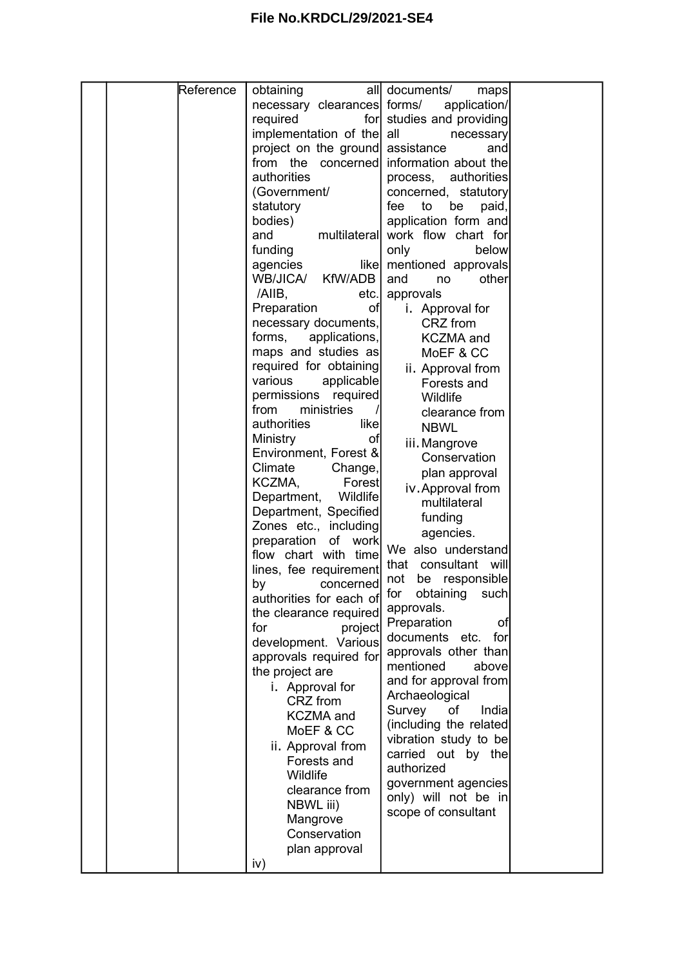|  | Reference | obtaining                        | all documents/                   |  |
|--|-----------|----------------------------------|----------------------------------|--|
|  |           |                                  | maps                             |  |
|  |           | necessary clearances forms/      | application/                     |  |
|  |           | required                         | for studies and providing        |  |
|  |           | implementation of the all        | necessary                        |  |
|  |           | project on the ground assistance | and                              |  |
|  |           | from the<br>concerned            | information about the            |  |
|  |           | authorities                      | process, authorities             |  |
|  |           | (Government/                     | concerned, statutory             |  |
|  |           | statutory                        | fee<br>to<br>be<br>paid,         |  |
|  |           | bodies)                          | application form and             |  |
|  |           | and                              | multilateral work flow chart for |  |
|  |           | funding                          | only<br>below                    |  |
|  |           | agencies                         | like mentioned approvals         |  |
|  |           | WB/JICA/<br>KfW/ADB              | other<br>and                     |  |
|  |           |                                  | no                               |  |
|  |           | /AIIB,<br>etc.                   | approvals                        |  |
|  |           | Preparation<br>of                | i. Approval for                  |  |
|  |           | necessary documents,             | CRZ from                         |  |
|  |           | forms,<br>applications,          | <b>KCZMA</b> and                 |  |
|  |           | maps and studies as              | MoEF & CC                        |  |
|  |           | required for obtaining           | ii. Approval from                |  |
|  |           | various<br>applicable            | Forests and                      |  |
|  |           | permissions required             | Wildlife                         |  |
|  |           | from<br>ministries               | clearance from                   |  |
|  |           | authorities<br>likel             | <b>NBWL</b>                      |  |
|  |           | Ministry<br>of                   |                                  |  |
|  |           | Environment, Forest &            | iii. Mangrove                    |  |
|  |           | Climate<br>Change,               | Conservation                     |  |
|  |           | KCZMA,<br>Forest                 | plan approval                    |  |
|  |           | Wildlife<br>Department,          | iv. Approval from                |  |
|  |           |                                  | multilateral                     |  |
|  |           | Department, Specified            | funding                          |  |
|  |           | Zones etc., including            | agencies.                        |  |
|  |           | preparation<br>of work           | We also understand               |  |
|  |           | flow chart with time             | consultant<br>that<br>will       |  |
|  |           | lines, fee requirement           | not<br>responsible<br>be         |  |
|  |           | by<br>concerned                  | for obtaining such               |  |
|  |           | authorities for each of          |                                  |  |
|  |           | the clearance required           | approvals.                       |  |
|  |           | for<br>project                   | Preparation<br>of                |  |
|  |           | development. Various             | documents etc.<br>for            |  |
|  |           | approvals required for           | approvals other than             |  |
|  |           | the project are                  | mentioned<br>abovel              |  |
|  |           | i. Approval for                  | and for approval from            |  |
|  |           | CRZ from                         | Archaeological                   |  |
|  |           | <b>KCZMA</b> and                 | Survey<br>οf<br>Indial           |  |
|  |           | MoEF & CC                        | (including the related)          |  |
|  |           |                                  | vibration study to be            |  |
|  |           | ii. Approval from                | carried out by the               |  |
|  |           | Forests and                      | authorized                       |  |
|  |           | Wildlife                         | government agencies              |  |
|  |           | clearance from                   | only) will not be in             |  |
|  |           | NBWL iii)                        | scope of consultant              |  |
|  |           | Mangrove                         |                                  |  |
|  |           | Conservation                     |                                  |  |
|  |           | plan approval                    |                                  |  |
|  |           | iv)                              |                                  |  |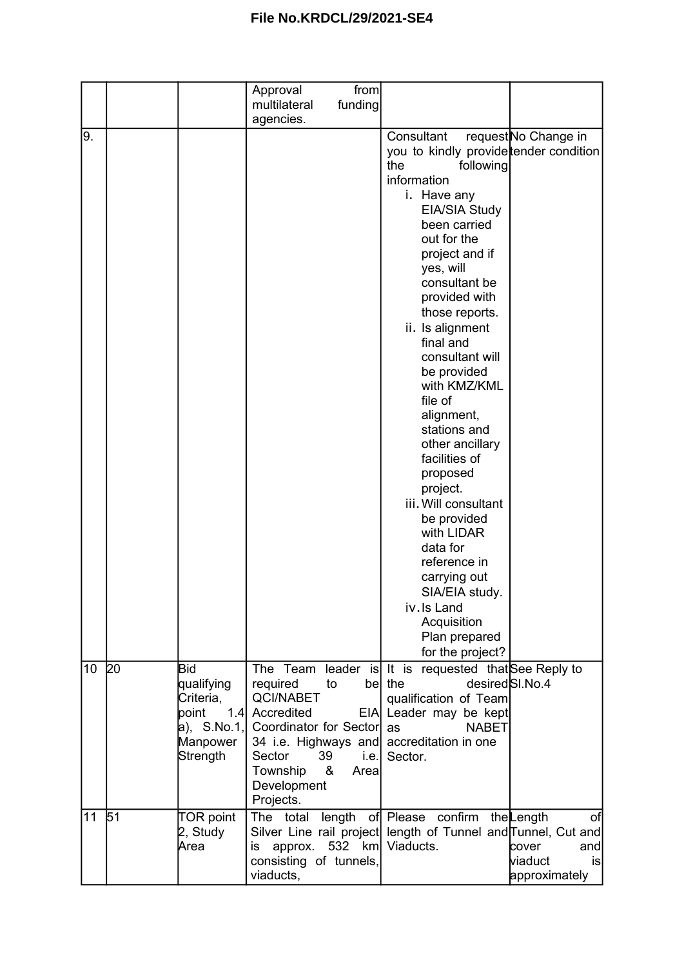|                 |    |                                                                                                | Approval<br>multilateral<br>agencies.                                                                                                                           | from<br>funding |                                                                                                                                                                                                                                                                                                                                                                                                                                                                                                                                                                                                                         |                                                       |
|-----------------|----|------------------------------------------------------------------------------------------------|-----------------------------------------------------------------------------------------------------------------------------------------------------------------|-----------------|-------------------------------------------------------------------------------------------------------------------------------------------------------------------------------------------------------------------------------------------------------------------------------------------------------------------------------------------------------------------------------------------------------------------------------------------------------------------------------------------------------------------------------------------------------------------------------------------------------------------------|-------------------------------------------------------|
| 9.              |    |                                                                                                |                                                                                                                                                                 |                 | Consultant<br>you to kindly provide tender condition<br>the<br>following<br>information<br>i. Have any<br>EIA/SIA Study<br>been carried<br>out for the<br>project and if<br>yes, will<br>consultant be<br>provided with<br>those reports.<br>ii. Is alignment<br>final and<br>consultant will<br>be provided<br>with KMZ/KML<br>file of<br>alignment,<br>stations and<br>other ancillary<br>facilities of<br>proposed<br>project.<br>iii. Will consultant<br>be provided<br>with LIDAR<br>data for<br>reference in<br>carrying out<br>SIA/EIA study.<br>iv. Is Land<br>Acquisition<br>Plan prepared<br>for the project? | request No Change in                                  |
| 10 <sup>°</sup> | 20 | <b>Bid</b><br>qualifying<br>Criteria,<br>point<br>1.4<br>a), $S.No.1,$<br>Manpower<br>Strength | required<br>to<br><b>QCI/NABET</b><br>Accredited<br>Coordinator for Sector<br>34 i.e. Highways and<br>Sector<br>39<br>Township<br>&<br>Development<br>Projects. | i.e.<br>Area    | The Team leader is It is requested that See Reply to<br>be the<br>qualification of Team<br>EIA Leader may be kept<br><b>NABET</b><br>as<br>accreditation in one<br>Sector.                                                                                                                                                                                                                                                                                                                                                                                                                                              | desired <sup>SI</sup> .No.4                           |
| 11              | 51 | <b>TOR point</b><br>2, Study<br>Area                                                           | The total<br>approx.<br>is<br>consisting of tunnels,<br>viaducts,                                                                                               | length          | confirm the Length<br>of Please<br>Silver Line rail project length of Tunnel and Tunnel, Cut and<br>532 km Viaducts.                                                                                                                                                                                                                                                                                                                                                                                                                                                                                                    | of<br>cover<br>and<br>lviaduct<br>is<br>approximately |